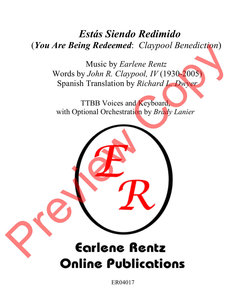## *Estás Siendo Redimido* (*You Are Being Redeemed*: *Claypool Benediction*)

Music by *Earlene Rentz* Words by *John R. Claypool, IV* (1930-2005) Spanish Translation by *Richard L. Dwyer* (You Are Being Redeemed: Claypool Benedaction)<br>
Music by *Earlene Rentz*<br>
Words by *John R. Claypool, IV* (1930-2005)<br>
Spanish Translation by *Richard L* Diver<br>
TIBB Voices and Keyboard<br>
with Optional Orchestration by *Bra* 

TTBB Voices and Keyboard, with Optional Orchestration by *Brady Lanier*

ER04017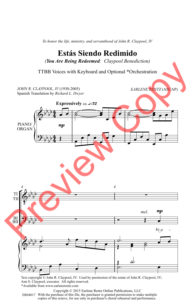*To honor the life, ministry, and servanthood of John R. Claypool, IV*

## **Estás Siendo Redimido**

*(You Are Being Redeemed: Claypool Benediction)*

TTBB Voices with Keyboard and Optional \*Orchestration



\*Available from www.earlenerentz.com

Copyright © 2015 Earlene Rentz Online Publications, LLCER04017 With the purchase of this file, the purchaser is granted permission to make multiple copies of this octavo, for use only in purchaser's choral rehearsal and performance.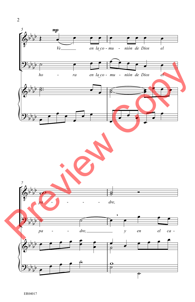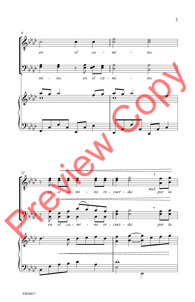

ER04017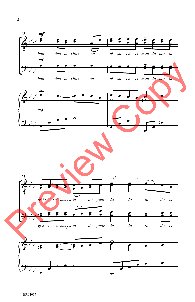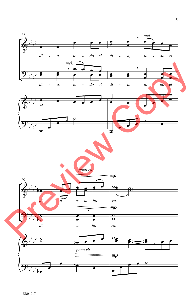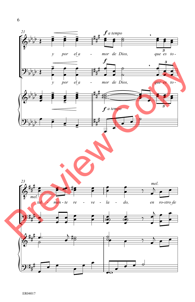